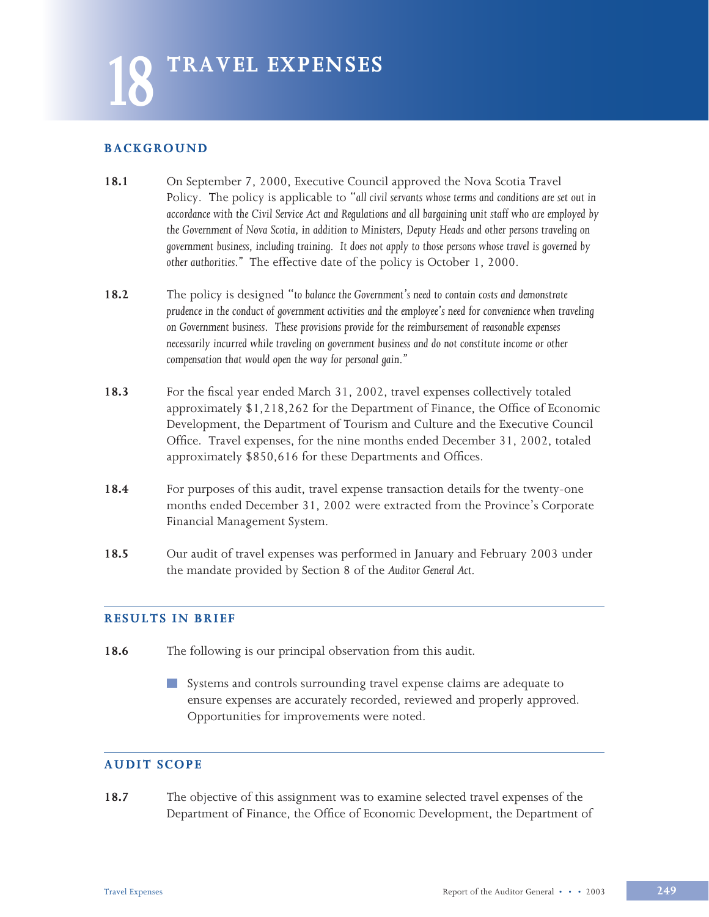# **BACKGROUND**

- **18.1** On September 7, 2000, Executive Council approved the Nova Scotia Travel Policy. The policy is applicable to "*all civil servants whose terms and conditions are set out in accordance with the Civil Service Act and Regulations and all bargaining unit staff who are employed by the Government of Nova Scotia, in addition to Ministers, Deputy Heads and other persons traveling on government business, including training. It does not apply to those persons whose travel is governed by other authorities."* The effective date of the policy is October 1, 2000.
- **18.2** The policy is designed "*to balance the Government's need to contain costs and demonstrate prudence in the conduct of government activities and the employee's need for convenience when traveling on Government business. These provisions provide for the reimbursement of reasonable expenses necessarily incurred while traveling on government business and do not constitute income or other compensation that would open the way for personal gain."*
- **18.3** For the fiscal year ended March 31, 2002, travel expenses collectively totaled approximately \$1,218,262 for the Department of Finance, the Office of Economic Development, the Department of Tourism and Culture and the Executive Council Office. Travel expenses, for the nine months ended December 31, 2002, totaled approximately \$850,616 for these Departments and Offices.
- **18.4** For purposes of this audit, travel expense transaction details for the twenty-one months ended December 31, 2002 were extracted from the Province's Corporate Financial Management System.
- **18.5** Our audit of travel expenses was performed in January and February 2003 under the mandate provided by Section 8 of the *Auditor General Act.*

### **RESULTS IN BRIEF**

- **18.6** The following is our principal observation from this audit.
	- Systems and controls surrounding travel expense claims are adequate to ensure expenses are accurately recorded, reviewed and properly approved. Opportunities for improvements were noted.

#### **AUDIT SCOPE**

**18.7** The objective of this assignment was to examine selected travel expenses of the Department of Finance, the Office of Economic Development, the Department of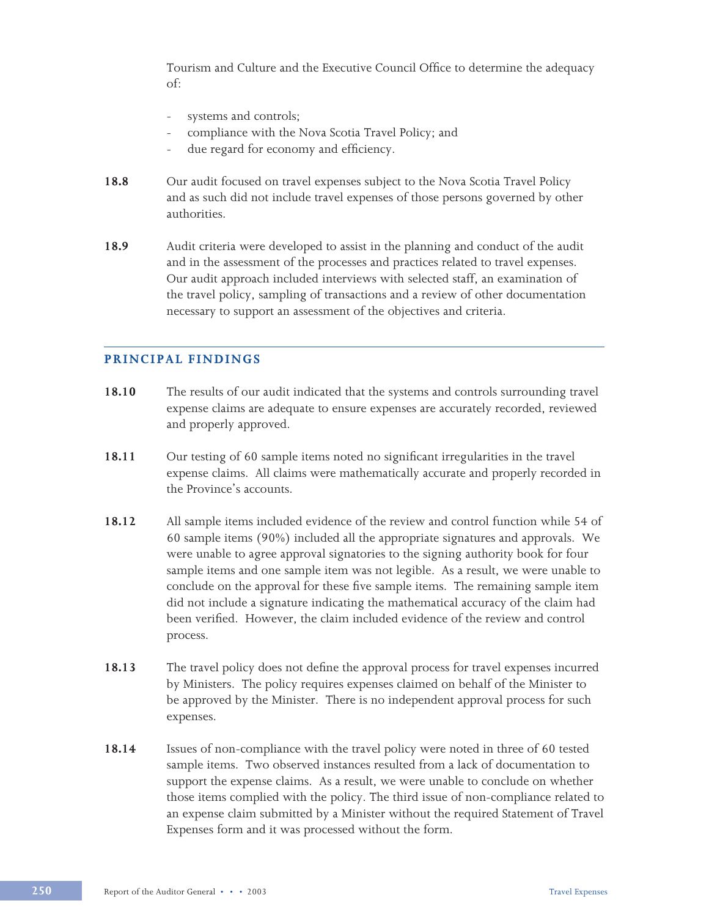Tourism and Culture and the Executive Council Office to determine the adequacy of:

- systems and controls;
- compliance with the Nova Scotia Travel Policy; and
- due regard for economy and efficiency.
- **18.8** Our audit focused on travel expenses subject to the Nova Scotia Travel Policy and as such did not include travel expenses of those persons governed by other authorities.
- **18.9** Audit criteria were developed to assist in the planning and conduct of the audit and in the assessment of the processes and practices related to travel expenses. Our audit approach included interviews with selected staff, an examination of the travel policy, sampling of transactions and a review of other documentation necessary to support an assessment of the objectives and criteria.

# **PRINCIPAL FINDINGS**

- **18.10** The results of our audit indicated that the systems and controls surrounding travel expense claims are adequate to ensure expenses are accurately recorded, reviewed and properly approved.
- **18.11** Our testing of 60 sample items noted no significant irregularities in the travel expense claims. All claims were mathematically accurate and properly recorded in the Province's accounts.
- **18.12** All sample items included evidence of the review and control function while 54 of 60 sample items (90%) included all the appropriate signatures and approvals. We were unable to agree approval signatories to the signing authority book for four sample items and one sample item was not legible. As a result, we were unable to conclude on the approval for these five sample items. The remaining sample item did not include a signature indicating the mathematical accuracy of the claim had been verified. However, the claim included evidence of the review and control process.
- **18.13** The travel policy does not define the approval process for travel expenses incurred by Ministers. The policy requires expenses claimed on behalf of the Minister to be approved by the Minister. There is no independent approval process for such expenses.
- **18.14** Issues of non-compliance with the travel policy were noted in three of 60 tested sample items. Two observed instances resulted from a lack of documentation to support the expense claims. As a result, we were unable to conclude on whether those items complied with the policy. The third issue of non-compliance related to an expense claim submitted by a Minister without the required Statement of Travel Expenses form and it was processed without the form.